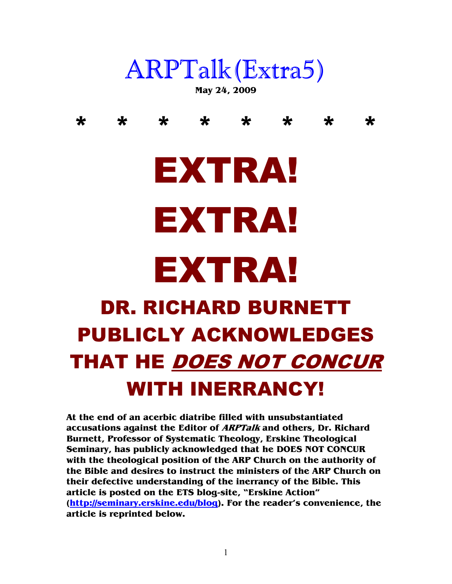## ARPTalk(Extra5)

**May 24, 2009** 

\* \* \* \* \* \* \* \*

# EXTRA! EXTRA!

## EXTRA!

### DR. RICHARD BURNETT PUBLICLY ACKNOWLEDGES THAT HE DOES NOT CONCUR WITH INERRANCY!

**At the end of an acerbic diatribe filled with unsubstantiated accusations against the Editor of ARPTalk and others, Dr. Richard Burnett, Professor of Systematic Theology, Erskine Theological Seminary, has publicly acknowledged that he DOES NOT CONCUR with the theological position of the ARP Church on the authority of the Bible and desires to instruct the ministers of the ARP Church on their defective understanding of the inerrancy of the Bible. This article is posted on the ETS blog-site, "Erskine Action" (http://seminary.erskine.edu/blog). For the reader's convenience, the article is reprinted below.**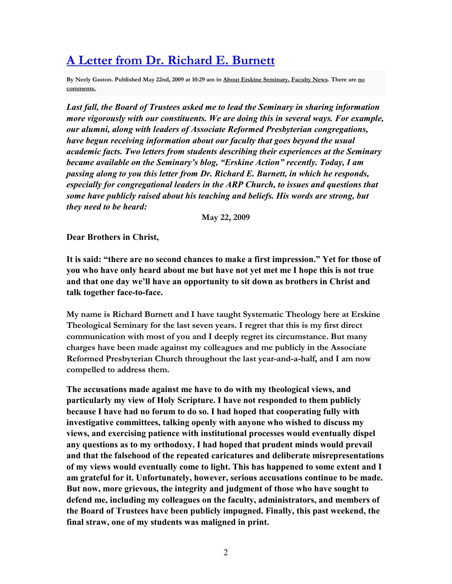#### **A Letter from Dr. Richard E. Burnett**

**By Neely Gaston. Published May 22nd, 2009 at 10:29 am in About Erskine Seminary, Faculty News. There are no comments.**

*Last fall, the Board of Trustees asked me to lead the Seminary in sharing information more vigorously with our constituents. We are doing this in several ways. For example, our alumni, along with leaders of Associate Reformed Presbyterian congregations, have begun receiving information about our faculty that goes beyond the usual academic facts. Two letters from students describing their experiences at the Seminary became available on the Seminary's blog, "Erskine Action" recently. Today, I am passing along to you this letter from Dr. Richard E. Burnett, in which he responds, especially for congregational leaders in the ARP Church, to issues and questions that some have publicly raised about his teaching and beliefs. His words are strong, but they need to be heard:*

**May 22, 2009** 

**Dear Brothers in Christ,** 

**It is said: "there are no second chances to make a first impression." Yet for those of you who have only heard about me but have not yet met me I hope this is not true and that one day we'll have an opportunity to sit down as brothers in Christ and talk together face-to-face.** 

**My name is Richard Burnett and I have taught Systematic Theology here at Erskine Theological Seminary for the last seven years. I regret that this is my first direct communication with most of you and I deeply regret its circumstance. But many charges have been made against my colleagues and me publicly in the Associate Reformed Presbyterian Church throughout the last year-and-a-half, and I am now compelled to address them.** 

**The accusations made against me have to do with my theological views, and particularly my view of Holy Scripture. I have not responded to them publicly because I have had no forum to do so. I had hoped that cooperating fully with investigative committees, talking openly with anyone who wished to discuss my views, and exercising patience with institutional processes would eventually dispel any questions as to my orthodoxy. I had hoped that prudent minds would prevail and that the falsehood of the repeated caricatures and deliberate misrepresentations of my views would eventually come to light. This has happened to some extent and I am grateful for it. Unfortunately, however, serious accusations continue to be made. But now, more grievous, the integrity and judgment of those who have sought to defend me, including my colleagues on the faculty, administrators, and members of the Board of Trustees have been publicly impugned. Finally, this past weekend, the final straw, one of my students was maligned in print.**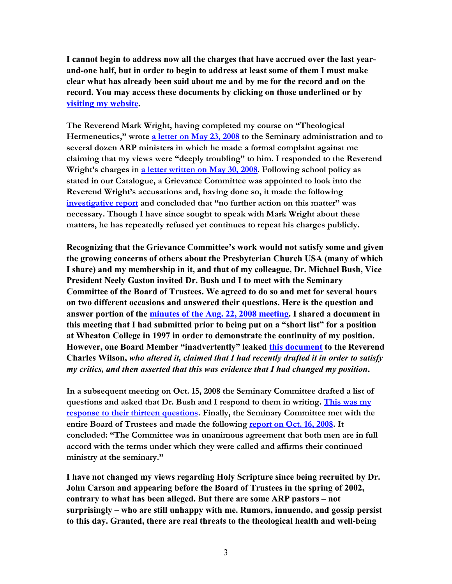**I cannot begin to address now all the charges that have accrued over the last yearand-one half, but in order to begin to address at least some of them I must make clear what has already been said about me and by me for the record and on the record. You may access these documents by clicking on those underlined or by visiting my website.** 

**The Reverend Mark Wright, having completed my course on "Theological Hermeneutics," wrote a letter on May 23, 2008 to the Seminary administration and to several dozen ARP ministers in which he made a formal complaint against me claiming that my views were "deeply troubling" to him. I responded to the Reverend Wright's charges in a letter written on May 30, 2008. Following school policy as stated in our Catalogue, a Grievance Committee was appointed to look into the Reverend Wright's accusations and, having done so, it made the following investigative report and concluded that "no further action on this matter" was necessary. Though I have since sought to speak with Mark Wright about these matters, he has repeatedly refused yet continues to repeat his charges publicly.** 

**Recognizing that the Grievance Committee's work would not satisfy some and given the growing concerns of others about the Presbyterian Church USA (many of which I share) and my membership in it, and that of my colleague, Dr. Michael Bush, Vice President Neely Gaston invited Dr. Bush and I to meet with the Seminary Committee of the Board of Trustees. We agreed to do so and met for several hours on two different occasions and answered their questions. Here is the question and answer portion of the minutes of the Aug. 22, 2008 meeting. I shared a document in this meeting that I had submitted prior to being put on a "short list" for a position at Wheaton College in 1997 in order to demonstrate the continuity of my position.**  However, one Board Member "inadvertently" leaked **this document** to the Reverend **Charles Wilson,** *who altered it, claimed that I had recently drafted it in order to satisfy my critics, and then asserted that this was evidence that I had changed my position***.** 

**In a subsequent meeting on Oct. 15, 2008 the Seminary Committee drafted a list of questions and asked that Dr. Bush and I respond to them in writing. This was my response to their thirteen questions. Finally, the Seminary Committee met with the entire Board of Trustees and made the following report on Oct. 16, 2008. It concluded: "The Committee was in unanimous agreement that both men are in full accord with the terms under which they were called and affirms their continued ministry at the seminary."** 

**I have not changed my views regarding Holy Scripture since being recruited by Dr. John Carson and appearing before the Board of Trustees in the spring of 2002, contrary to what has been alleged. But there are some ARP pastors – not surprisingly – who are still unhappy with me. Rumors, innuendo, and gossip persist to this day. Granted, there are real threats to the theological health and well-being**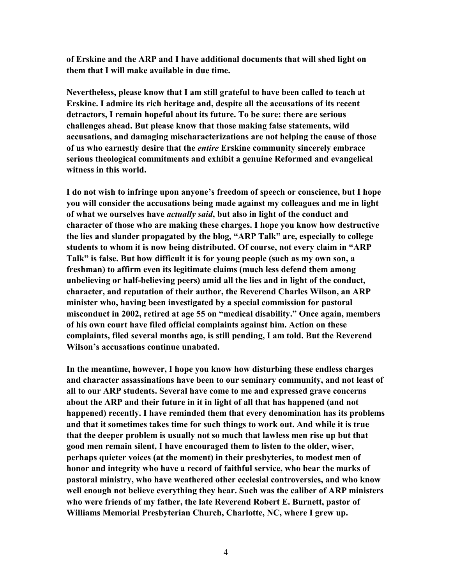**of Erskine and the ARP and I have additional documents that will shed light on them that I will make available in due time.** 

**5evertheless, please know that I am still grateful to have been called to teach at Erskine. I admire its rich heritage and, despite all the accusations of its recent detractors, I remain hopeful about its future. To be sure: there are serious challenges ahead. But please know that those making false statements, wild accusations, and damaging mischaracterizations are not helping the cause of those of us who earnestly desire that the** *entire* **Erskine community sincerely embrace serious theological commitments and exhibit a genuine Reformed and evangelical witness in this world.** 

**I do not wish to infringe upon anyone's freedom of speech or conscience, but I hope you will consider the accusations being made against my colleagues and me in light of what we ourselves have** *actually said***, but also in light of the conduct and character of those who are making these charges. I hope you know how destructive the lies and slander propagated by the blog, "ARP Talk" are, especially to college students to whom it is now being distributed. Of course, not every claim in "ARP Talk" is false. But how difficult it is for young people (such as my own son, a freshman) to affirm even its legitimate claims (much less defend them among unbelieving or half-believing peers) amid all the lies and in light of the conduct, character, and reputation of their author, the Reverend Charles Wilson, an ARP minister who, having been investigated by a special commission for pastoral misconduct in 2002, retired at age 55 on "medical disability." Once again, members of his own court have filed official complaints against him. Action on these complaints, filed several months ago, is still pending, I am told. But the Reverend Wilson's accusations continue unabated.** 

**In the meantime, however, I hope you know how disturbing these endless charges and character assassinations have been to our seminary community, and not least of all to our ARP students. Several have come to me and expressed grave concerns about the ARP and their future in it in light of all that has happened (and not happened) recently. I have reminded them that every denomination has its problems and that it sometimes takes time for such things to work out. And while it is true that the deeper problem is usually not so much that lawless men rise up but that good men remain silent, I have encouraged them to listen to the older, wiser, perhaps quieter voices (at the moment) in their presbyteries, to modest men of honor and integrity who have a record of faithful service, who bear the marks of pastoral ministry, who have weathered other ecclesial controversies, and who know well enough not believe everything they hear. Such was the caliber of ARP ministers who were friends of my father, the late Reverend Robert E. Burnett, pastor of Williams Memorial Presbyterian Church, Charlotte, 5C, where I grew up.**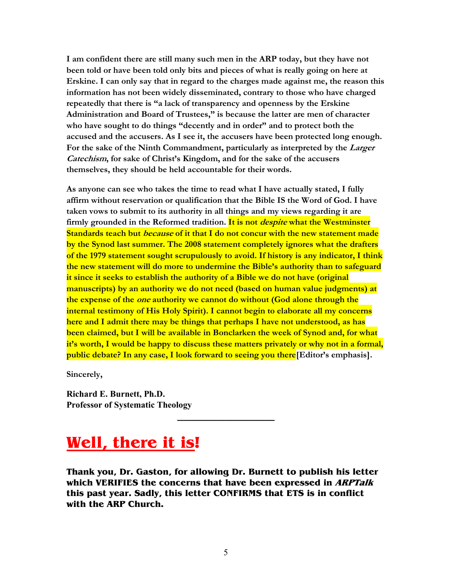**I am confident there are still many such men in the ARP today, but they have not been told or have been told only bits and pieces of what is really going on here at Erskine. I can only say that in regard to the charges made against me, the reason this information has not been widely disseminated, contrary to those who have charged repeatedly that there is "a lack of transparency and openness by the Erskine Administration and Board of Trustees," is because the latter are men of character who have sought to do things "decently and in order" and to protect both the accused and the accusers. As I see it, the accusers have been protected long enough. For the sake of the Ninth Commandment, particularly as interpreted by the Larger Catechism, for sake of Christ's Kingdom, and for the sake of the accusers themselves, they should be held accountable for their words.** 

**As anyone can see who takes the time to read what I have actually stated, I fully affirm without reservation or qualification that the Bible IS the Word of God. I have taken vows to submit to its authority in all things and my views regarding it are firmly grounded in the Reformed tradition. It is not despite what the Westminster Standards teach but because of it that I do not concur with the new statement made by the Synod last summer. The 2008 statement completely ignores what the drafters of the 1979 statement sought scrupulously to avoid. If history is any indicator, I think the new statement will do more to undermine the Bible's authority than to safeguard it since it seeks to establish the authority of a Bible we do not have (original manuscripts) by an authority we do not need (based on human value judgments) at the expense of the one authority we cannot do without (God alone through the internal testimony of His Holy Spirit). I cannot begin to elaborate all my concerns here and I admit there may be things that perhaps I have not understood, as has been claimed, but I will be available in Bonclarken the week of Synod and, for what it's worth, I would be happy to discuss these matters privately or why not in a formal, public debate? In any case, I look forward to seeing you there[Editor's emphasis].** 

**Sincerely,** 

**Richard E. Burnett, Ph.D. Professor of Systematic Theology** 

#### **Well, there it is!**

**Thank you, Dr. Gaston, for allowing Dr. Burnett to publish his letter which VERIFIES the concerns that have been expressed in ARPTalk this past year. Sadly, this letter CONFIRMS that ETS is in conflict with the ARP Church.** 

 $\mathcal{L}$  , we have the set of the set of the set of the set of the set of the set of the set of the set of the set of the set of the set of the set of the set of the set of the set of the set of the set of the set of the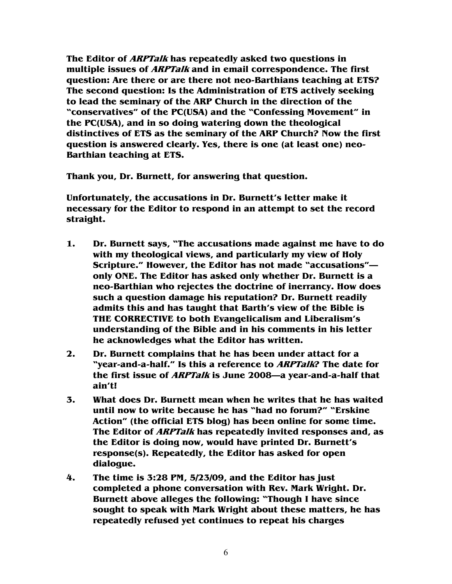**The Editor of ARPTalk has repeatedly asked two questions in multiple issues of ARPTalk and in email correspondence. The first question: Are there or are there not neo-Barthians teaching at ETS? The second question: Is the Administration of ETS actively seeking to lead the seminary of the ARP Church in the direction of the "conservatives" of the PC(USA) and the "Confessing Movement" in the PC(USA), and in so doing watering down the theological distinctives of ETS as the seminary of the ARP Church? Now the first question is answered clearly. Yes, there is one (at least one) neo-Barthian teaching at ETS.** 

**Thank you, Dr. Burnett, for answering that question.** 

**Unfortunately, the accusations in Dr. Burnett's letter make it necessary for the Editor to respond in an attempt to set the record straight.** 

- **1. Dr. Burnett says, "The accusations made against me have to do with my theological views, and particularly my view of Holy Scripture." However, the Editor has not made "accusations" only ONE. The Editor has asked only whether Dr. Burnett is a neo-Barthian who rejectes the doctrine of inerrancy. How does such a question damage his reputation? Dr. Burnett readily admits this and has taught that Barth's view of the Bible is THE CORRECTIVE to both Evangelicalism and Liberalism's understanding of the Bible and in his comments in his letter he acknowledges what the Editor has written.**
- **2. Dr. Burnett complains that he has been under attact for a "year-and-a-half." Is this a reference to ARPTalk? The date for the first issue of ARPTalk is June 2008—a year-and-a-half that ain't!**
- **3. What does Dr. Burnett mean when he writes that he has waited until now to write because he has "had no forum?" "Erskine Action" (the official ETS blog) has been online for some time. The Editor of ARPTalk has repeatedly invited responses and, as the Editor is doing now, would have printed Dr. Burnett's response(s). Repeatedly, the Editor has asked for open dialogue.**
- **4. The time is 3:28 PM, 5/23/09, and the Editor has just completed a phone conversation with Rev. Mark Wright. Dr. Burnett above alleges the following: "Though I have since sought to speak with Mark Wright about these matters, he has repeatedly refused yet continues to repeat his charges**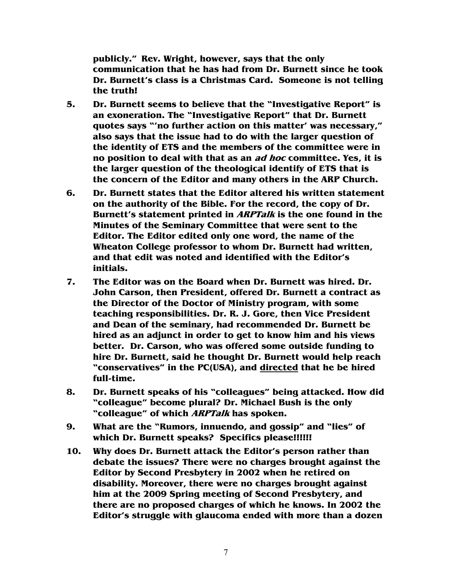**publicly." Rev. Wright, however, says that the only communication that he has had from Dr. Burnett since he took Dr. Burnett's class is a Christmas Card. Someone is not telling the truth!** 

- **5. Dr. Burnett seems to believe that the "Investigative Report" is an exoneration. The "Investigative Report" that Dr. Burnett quotes says "'no further action on this matter' was necessary," also says that the issue had to do with the larger question of the identity of ETS and the members of the committee were in no position to deal with that as an ad hoc committee. Yes, it is the larger question of the theological identify of ETS that is the concern of the Editor and many others in the ARP Church.**
- **6. Dr. Burnett states that the Editor altered his written statement on the authority of the Bible. For the record, the copy of Dr. Burnett's statement printed in ARPTalk is the one found in the Minutes of the Seminary Committee that were sent to the Editor. The Editor edited only one word, the name of the Wheaton College professor to whom Dr. Burnett had written, and that edit was noted and identified with the Editor's initials.**
- **7. The Editor was on the Board when Dr. Burnett was hired. Dr. John Carson, then President, offered Dr. Burnett a contract as the Director of the Doctor of Ministry program, with some teaching responsibilities. Dr. R. J. Gore, then Vice President and Dean of the seminary, had recommended Dr. Burnett be hired as an adjunct in order to get to know him and his views better. Dr. Carson, who was offered some outside funding to hire Dr. Burnett, said he thought Dr. Burnett would help reach "conservatives" in the PC(USA), and directed that he be hired full-time.**
- **8. Dr. Burnett speaks of his "colleagues" being attacked. How did "colleague" become plural? Dr. Michael Bush is the only "colleague" of which ARPTalk has spoken.**
- **9. What are the "Rumors, innuendo, and gossip" and "lies" of which Dr. Burnett speaks? Specifics please!!!!!!**
- **10. Why does Dr. Burnett attack the Editor's person rather than debate the issues? There were no charges brought against the Editor by Second Presbytery in 2002 when he retired on disability. Moreover, there were no charges brought against him at the 2009 Spring meeting of Second Presbytery, and there are no proposed charges of which he knows. In 2002 the Editor's struggle with glaucoma ended with more than a dozen**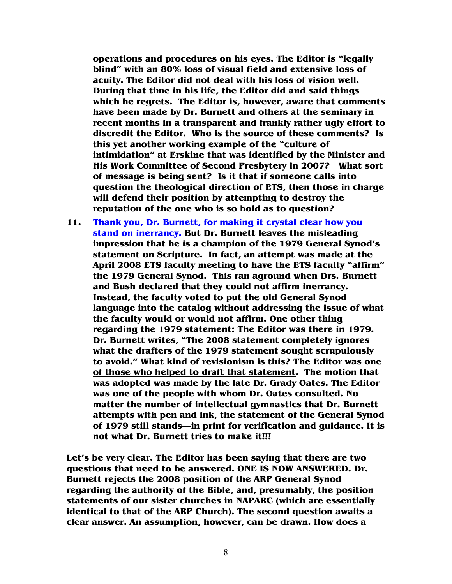**operations and procedures on his eyes. The Editor is "legally blind" with an 80% loss of visual field and extensive loss of acuity. The Editor did not deal with his loss of vision well. During that time in his life, the Editor did and said things which he regrets. The Editor is, however, aware that comments have been made by Dr. Burnett and others at the seminary in recent months in a transparent and frankly rather ugly effort to discredit the Editor. Who is the source of these comments? Is this yet another working example of the "culture of intimidation" at Erskine that was identified by the Minister and His Work Committee of Second Presbytery in 2007? What sort of message is being sent? Is it that if someone calls into question the theological direction of ETS, then those in charge will defend their position by attempting to destroy the reputation of the one who is so bold as to question?** 

**11. Thank you, Dr. Burnett, for making it crystal clear how you stand on inerrancy. But Dr. Burnett leaves the misleading impression that he is a champion of the 1979 General Synod's statement on Scripture. In fact, an attempt was made at the April 2008 ETS faculty meeting to have the ETS faculty "affirm" the 1979 General Synod. This ran aground when Drs. Burnett and Bush declared that they could not affirm inerrancy. Instead, the faculty voted to put the old General Synod language into the catalog without addressing the issue of what the faculty would or would not affirm. One other thing regarding the 1979 statement: The Editor was there in 1979. Dr. Burnett writes, "The 2008 statement completely ignores what the drafters of the 1979 statement sought scrupulously to avoid." What kind of revisionism is this? The Editor was one of those who helped to draft that statement. The motion that was adopted was made by the late Dr. Grady Oates. The Editor was one of the people with whom Dr. Oates consulted. No matter the number of intellectual gymnastics that Dr. Burnett attempts with pen and ink, the statement of the General Synod of 1979 still stands—in print for verification and guidance. It is not what Dr. Burnett tries to make it!!!** 

**Let's be very clear. The Editor has been saying that there are two questions that need to be answered. ONE IS NOW ANSWERED. Dr. Burnett rejects the 2008 position of the ARP General Synod regarding the authority of the Bible, and, presumably, the position statements of our sister churches in NAPARC (which are essentially identical to that of the ARP Church). The second question awaits a clear answer. An assumption, however, can be drawn. How does a**